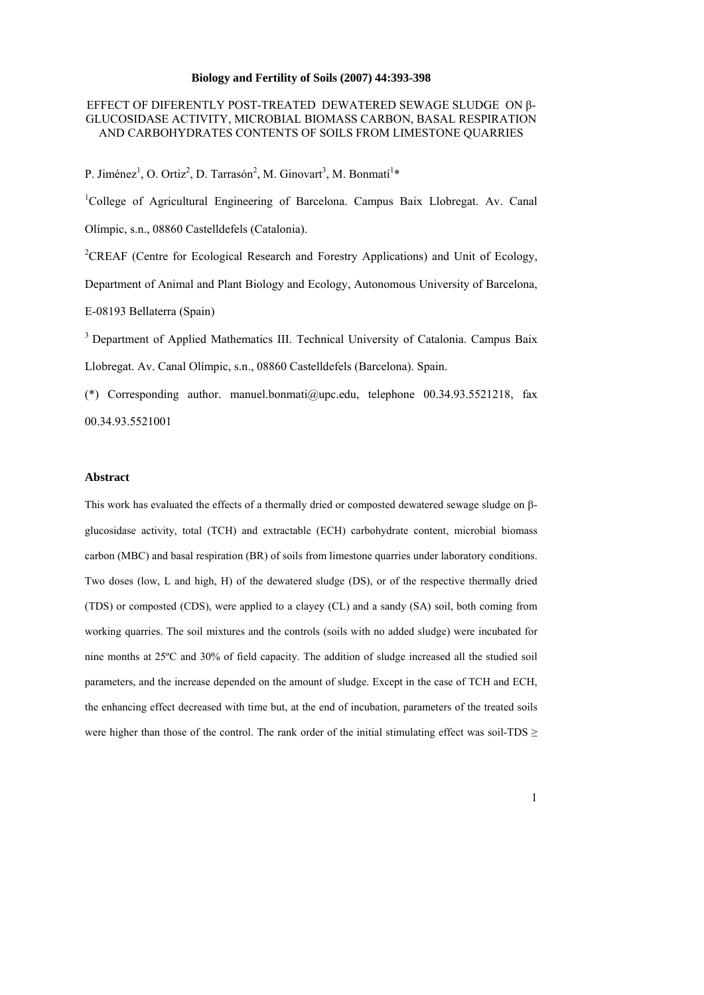# **Biology and Fertility of Soils (2007) 44:393-398**

# EFFECT OF DIFERENTLY POST-TREATED DEWATERED SEWAGE SLUDGE ON β-GLUCOSIDASE ACTIVITY, MICROBIAL BIOMASS CARBON, BASAL RESPIRATION AND CARBOHYDRATES CONTENTS OF SOILS FROM LIMESTONE QUARRIES

P. Jiménez<sup>1</sup>, O. Ortiz<sup>2</sup>, D. Tarrasón<sup>2</sup>, M. Ginovart<sup>3</sup>, M. Bonmatí<sup>1\*</sup>

<sup>1</sup>College of Agricultural Engineering of Barcelona. Campus Baix Llobregat. Av. Canal Olímpic, s.n., 08860 Castelldefels (Catalonia). <sup>2</sup>CREAF (Centre for Ecological Research and Forestry Applications) and Unit of Ecology,

Department of Animal and Plant Biology and Ecology, Autonomous University of Barcelona, E-08193 Bellaterra (Spain)

<sup>3</sup> Department of Applied Mathematics III. Technical University of Catalonia. Campus Baix Llobregat. Av. Canal Olímpic, s.n., 08860 Castelldefels (Barcelona). Spain.

(\*) Corresponding author. manuel.bonmati@upc.edu, telephone 00.34.93.5521218, fax 00.34.93.5521001

# **Abstract**

This work has evaluated the effects of a thermally dried or composted dewatered sewage sludge on  $\beta$ glucosidase activity, total (TCH) and extractable (ECH) carbohydrate content, microbial biomass carbon (MBC) and basal respiration (BR) of soils from limestone quarries under laboratory conditions. Two doses (low, L and high, H) of the dewatered sludge (DS), or of the respective thermally dried (TDS) or composted (CDS), were applied to a clayey (CL) and a sandy (SA) soil, both coming from working quarries. The soil mixtures and the controls (soils with no added sludge) were incubated for nine months at 25ºC and 30% of field capacity. The addition of sludge increased all the studied soil parameters, and the increase depended on the amount of sludge. Except in the case of TCH and ECH, the enhancing effect decreased with time but, at the end of incubation, parameters of the treated soils were higher than those of the control. The rank order of the initial stimulating effect was soil-TDS  $\geq$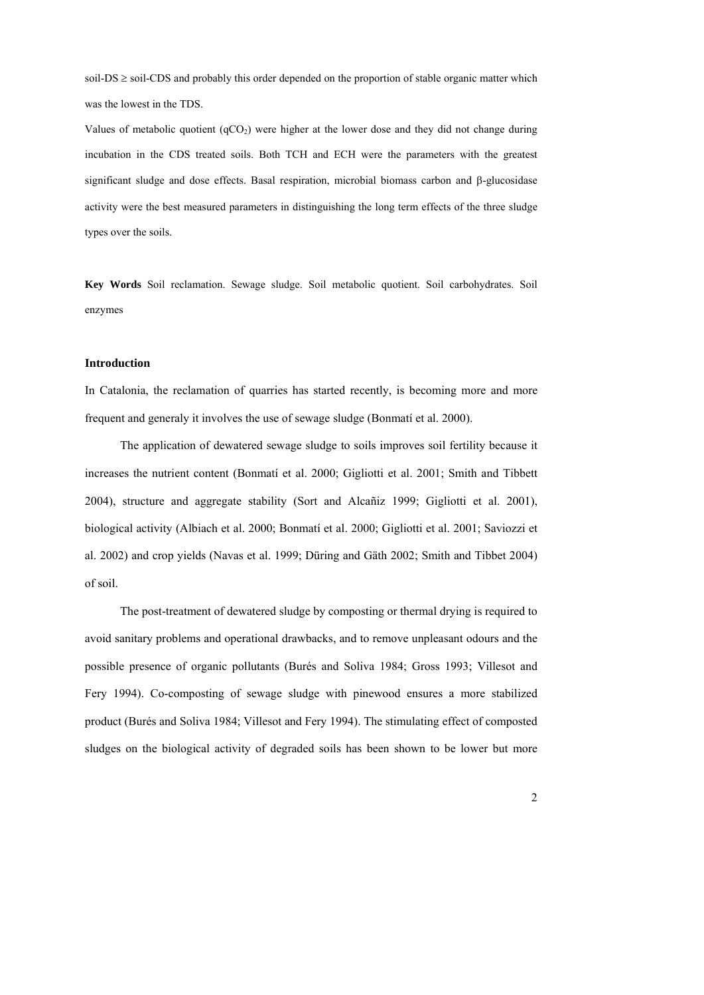soil-DS  $\geq$  soil-CDS and probably this order depended on the proportion of stable organic matter which was the lowest in the TDS.

Values of metabolic quotient  $(qCO<sub>2</sub>)$  were higher at the lower dose and they did not change during incubation in the CDS treated soils. Both TCH and ECH were the parameters with the greatest significant sludge and dose effects. Basal respiration, microbial biomass carbon and  $\beta$ -glucosidase activity were the best measured parameters in distinguishing the long term effects of the three sludge types over the soils.

**Key Words** Soil reclamation. Sewage sludge. Soil metabolic quotient. Soil carbohydrates. Soil enzymes

### **Introduction**

In Catalonia, the reclamation of quarries has started recently, is becoming more and more frequent and generaly it involves the use of sewage sludge (Bonmatí et al. 2000).

The application of dewatered sewage sludge to soils improves soil fertility because it increases the nutrient content (Bonmatí et al. 2000; Gigliotti et al. 2001; Smith and Tibbett 2004), structure and aggregate stability (Sort and Alcañiz 1999; Gigliotti et al. 2001), biological activity (Albiach et al. 2000; Bonmatí et al. 2000; Gigliotti et al. 2001; Saviozzi et al. 2002) and crop yields (Navas et al. 1999; Düring and Gäth 2002; Smith and Tibbet 2004) of soil.

The post-treatment of dewatered sludge by composting or thermal drying is required to avoid sanitary problems and operational drawbacks, and to remove unpleasant odours and the possible presence of organic pollutants (Burés and Soliva 1984; Gross 1993; Villesot and Fery 1994). Co-composting of sewage sludge with pinewood ensures a more stabilized product (Burés and Soliva 1984; Villesot and Fery 1994). The stimulating effect of composted sludges on the biological activity of degraded soils has been shown to be lower but more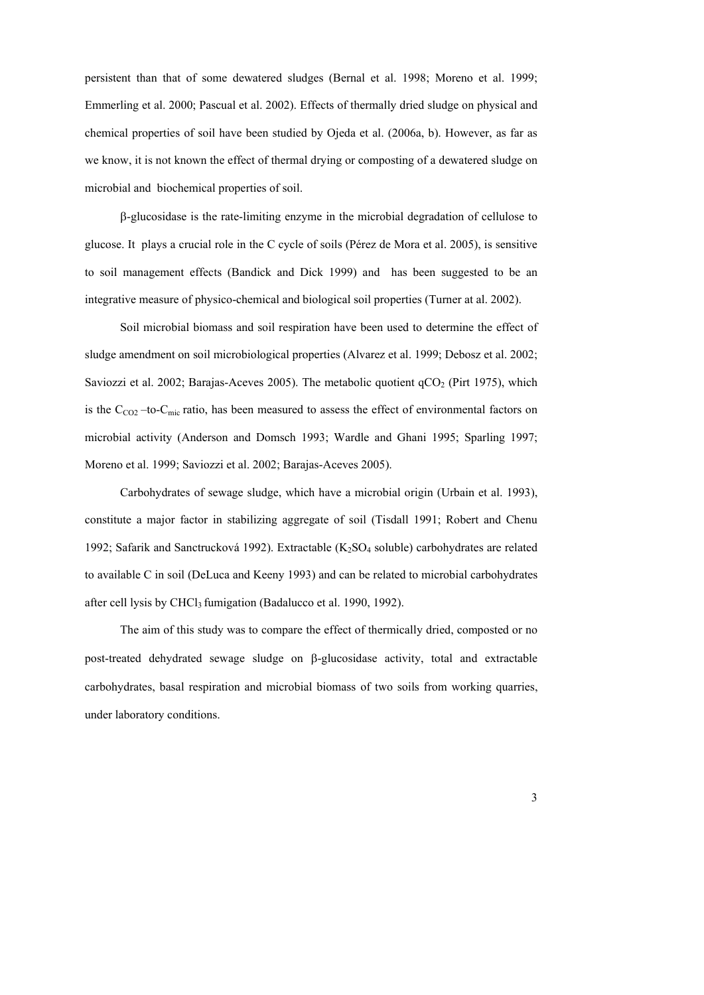persistent than that of some dewatered sludges (Bernal et al. 1998; Moreno et al. 1999; Emmerling et al. 2000; Pascual et al. 2002). Effects of thermally dried sludge on physical and chemical properties of soil have been studied by Ojeda et al. (2006a, b). However, as far as we know, it is not known the effect of thermal drying or composting of a dewatered sludge on microbial and biochemical properties of soil.

-glucosidase is the rate-limiting enzyme in the microbial degradation of cellulose to glucose. It plays a crucial role in the C cycle of soils (Pérez de Mora et al. 2005), is sensitive to soil management effects (Bandick and Dick 1999) and has been suggested to be an integrative measure of physico-chemical and biological soil properties (Turner at al. 2002).

Soil microbial biomass and soil respiration have been used to determine the effect of sludge amendment on soil microbiological properties (Alvarez et al. 1999; Debosz et al. 2002; Saviozzi et al. 2002; Barajas-Aceves 2005). The metabolic quotient  $qCO_2$  (Pirt 1975), which is the  $C_{CO2}$  –to-C<sub>mic</sub> ratio, has been measured to assess the effect of environmental factors on microbial activity (Anderson and Domsch 1993; Wardle and Ghani 1995; Sparling 1997; Moreno et al. 1999; Saviozzi et al. 2002; Barajas-Aceves 2005).

Carbohydrates of sewage sludge, which have a microbial origin (Urbain et al. 1993), constitute a major factor in stabilizing aggregate of soil (Tisdall 1991; Robert and Chenu 1992; Safarik and Sanctrucková 1992). Extractable (K2SO4 soluble) carbohydrates are related to available C in soil (DeLuca and Keeny 1993) and can be related to microbial carbohydrates after cell lysis by CHCl<sub>3</sub> fumigation (Badalucco et al. 1990, 1992).

The aim of this study was to compare the effect of thermically dried, composted or no post-treated dehydrated sewage sludge on  $\beta$ -glucosidase activity, total and extractable carbohydrates, basal respiration and microbial biomass of two soils from working quarries, under laboratory conditions.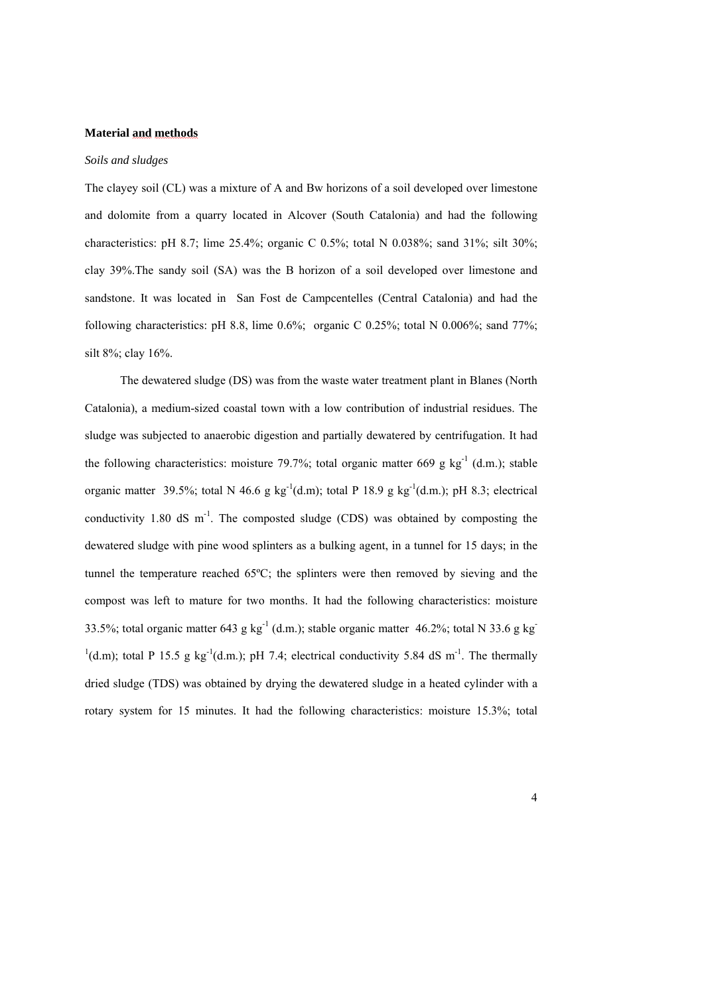# **Material and methods**

# *Soils and sludges*

The clayey soil (CL) was a mixture of A and Bw horizons of a soil developed over limestone and dolomite from a quarry located in Alcover (South Catalonia) and had the following characteristics: pH 8.7; lime 25.4%; organic C 0.5%; total N 0.038%; sand 31%; silt 30%; clay 39%.The sandy soil (SA) was the B horizon of a soil developed over limestone and sandstone. It was located in San Fost de Campcentelles (Central Catalonia) and had the following characteristics: pH 8.8, lime  $0.6\%$ ; organic C 0.25%; total N 0.006%; sand 77%; silt 8%; clay 16%.

The dewatered sludge (DS) was from the waste water treatment plant in Blanes (North Catalonia), a medium-sized coastal town with a low contribution of industrial residues. The sludge was subjected to anaerobic digestion and partially dewatered by centrifugation. It had the following characteristics: moisture 79.7%; total organic matter 669 g  $kg^{-1}$  (d.m.); stable organic matter 39.5%; total N 46.6 g kg<sup>-1</sup>(d.m); total P 18.9 g kg<sup>-1</sup>(d.m.); pH 8.3; electrical conductivity 1.80 dS  $m^{-1}$ . The composted sludge (CDS) was obtained by composting the dewatered sludge with pine wood splinters as a bulking agent, in a tunnel for 15 days; in the tunnel the temperature reached 65ºC; the splinters were then removed by sieving and the compost was left to mature for two months. It had the following characteristics: moisture 33.5%; total organic matter 643 g kg<sup>-1</sup> (d.m.); stable organic matter 46.2%; total N 33.6 g kg<sup>-1</sup>  $(1)(d.m);$  total P 15.5 g kg<sup>-1</sup>(d.m.); pH 7.4; electrical conductivity 5.84 dS m<sup>-1</sup>. The thermally dried sludge (TDS) was obtained by drying the dewatered sludge in a heated cylinder with a rotary system for 15 minutes. It had the following characteristics: moisture 15.3%; total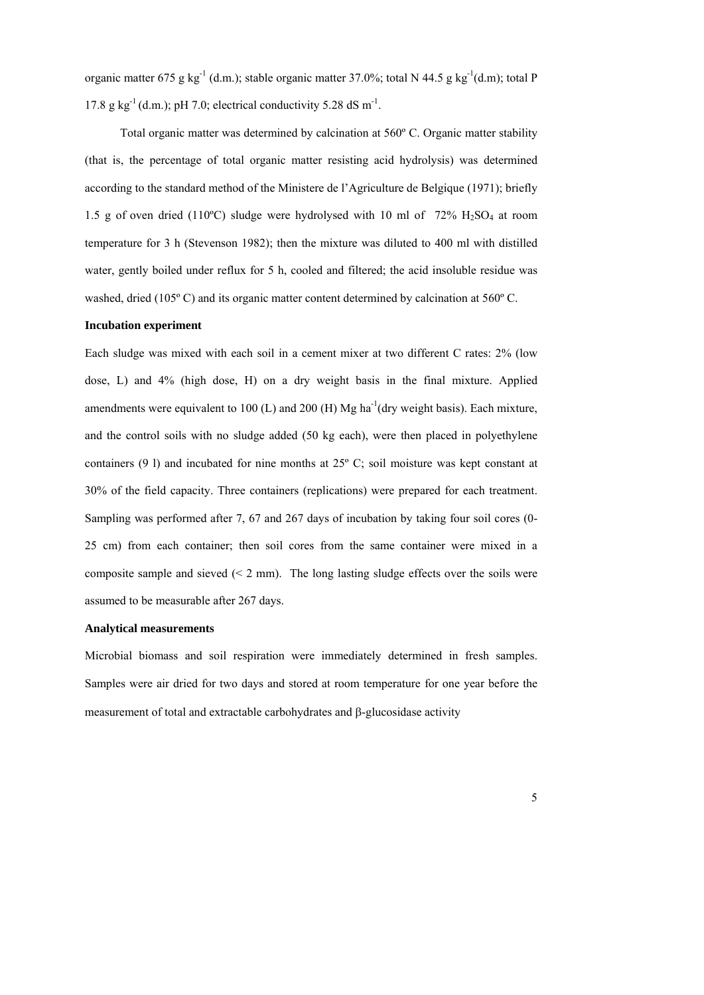organic matter 675 g kg<sup>-1</sup> (d.m.); stable organic matter 37.0%; total N 44.5 g kg<sup>-1</sup>(d.m); total P 17.8 g kg<sup>-1</sup> (d.m.); pH 7.0; electrical conductivity 5.28 dS m<sup>-1</sup>.

Total organic matter was determined by calcination at 560º C. Organic matter stability (that is, the percentage of total organic matter resisting acid hydrolysis) was determined according to the standard method of the Ministere de l'Agriculture de Belgique (1971); briefly 1.5 g of oven dried (110°C) sludge were hydrolysed with 10 ml of  $72\%$  H<sub>2</sub>SO<sub>4</sub> at room temperature for 3 h (Stevenson 1982); then the mixture was diluted to 400 ml with distilled water, gently boiled under reflux for 5 h, cooled and filtered; the acid insoluble residue was washed, dried (105<sup>o</sup> C) and its organic matter content determined by calcination at 560<sup>o</sup> C.

#### **Incubation experiment**

Each sludge was mixed with each soil in a cement mixer at two different C rates: 2% (low dose, L) and 4% (high dose, H) on a dry weight basis in the final mixture. Applied amendments were equivalent to 100 (L) and 200 (H) Mg ha<sup>-1</sup>(dry weight basis). Each mixture, and the control soils with no sludge added (50 kg each), were then placed in polyethylene containers (9 l) and incubated for nine months at 25º C; soil moisture was kept constant at 30% of the field capacity. Three containers (replications) were prepared for each treatment. Sampling was performed after 7, 67 and 267 days of incubation by taking four soil cores (0- 25 cm) from each container; then soil cores from the same container were mixed in a composite sample and sieved  $(< 2$  mm). The long lasting sludge effects over the soils were assumed to be measurable after 267 days.

# **Analytical measurements**

Microbial biomass and soil respiration were immediately determined in fresh samples. Samples were air dried for two days and stored at room temperature for one year before the measurement of total and extractable carbohydrates and  $\beta$ -glucosidase activity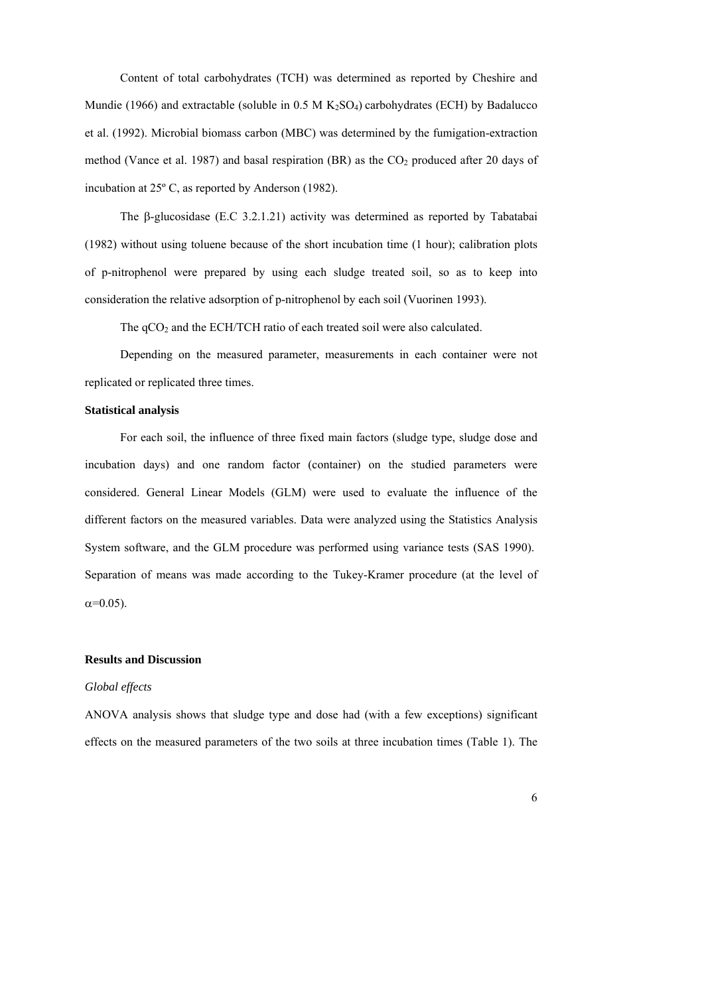Content of total carbohydrates (TCH) was determined as reported by Cheshire and Mundie (1966) and extractable (soluble in 0.5 M  $K_2SO_4$ ) carbohydrates (ECH) by Badalucco et al. (1992). Microbial biomass carbon (MBC) was determined by the fumigation-extraction method (Vance et al. 1987) and basal respiration (BR) as the  $CO<sub>2</sub>$  produced after 20 days of incubation at 25º C, as reported by Anderson (1982).

The  $\beta$ -glucosidase (E.C 3.2.1.21) activity was determined as reported by Tabatabai (1982) without using toluene because of the short incubation time (1 hour); calibration plots of p-nitrophenol were prepared by using each sludge treated soil, so as to keep into consideration the relative adsorption of p-nitrophenol by each soil (Vuorinen 1993).

The  $qCO<sub>2</sub>$  and the ECH/TCH ratio of each treated soil were also calculated.

Depending on the measured parameter, measurements in each container were not replicated or replicated three times.

# **Statistical analysis**

For each soil, the influence of three fixed main factors (sludge type, sludge dose and incubation days) and one random factor (container) on the studied parameters were considered. General Linear Models (GLM) were used to evaluate the influence of the different factors on the measured variables. Data were analyzed using the Statistics Analysis System software, and the GLM procedure was performed using variance tests (SAS 1990). Separation of means was made according to the Tukey-Kramer procedure (at the level of  $\alpha = 0.05$ ).

#### **Results and Discussion**

# *Global effects*

ANOVA analysis shows that sludge type and dose had (with a few exceptions) significant effects on the measured parameters of the two soils at three incubation times (Table 1). The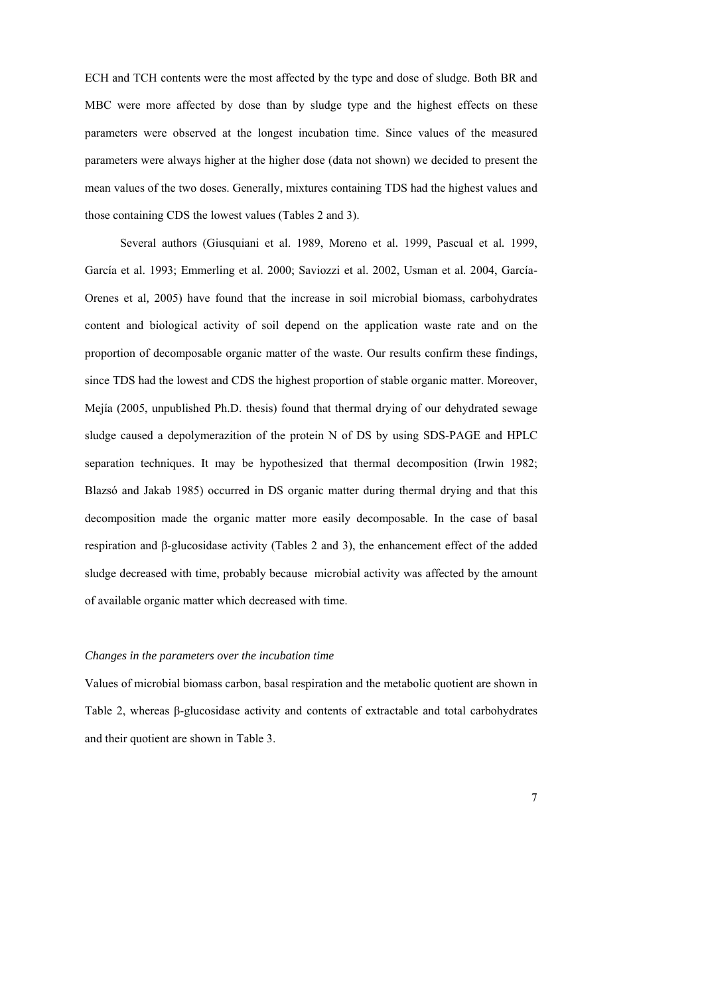ECH and TCH contents were the most affected by the type and dose of sludge. Both BR and MBC were more affected by dose than by sludge type and the highest effects on these parameters were observed at the longest incubation time. Since values of the measured parameters were always higher at the higher dose (data not shown) we decided to present the mean values of the two doses. Generally, mixtures containing TDS had the highest values and those containing CDS the lowest values (Tables 2 and 3).

 Several authors (Giusquiani et al. 1989, Moreno et al*.* 1999, Pascual et al*.* 1999, García et al. 1993; Emmerling et al. 2000; Saviozzi et al. 2002, Usman et al*.* 2004, García-Orenes et al*,* 2005) have found that the increase in soil microbial biomass, carbohydrates content and biological activity of soil depend on the application waste rate and on the proportion of decomposable organic matter of the waste. Our results confirm these findings, since TDS had the lowest and CDS the highest proportion of stable organic matter. Moreover, Mejía (2005, unpublished Ph.D. thesis) found that thermal drying of our dehydrated sewage sludge caused a depolymerazition of the protein N of DS by using SDS-PAGE and HPLC separation techniques. It may be hypothesized that thermal decomposition (Irwin 1982; Blazsó and Jakab 1985) occurred in DS organic matter during thermal drying and that this decomposition made the organic matter more easily decomposable. In the case of basal respiration and β-glucosidase activity (Tables 2 and 3), the enhancement effect of the added sludge decreased with time, probably because microbial activity was affected by the amount of available organic matter which decreased with time.

# *Changes in the parameters over the incubation time*

Values of microbial biomass carbon, basal respiration and the metabolic quotient are shown in Table 2, whereas β-glucosidase activity and contents of extractable and total carbohydrates and their quotient are shown in Table 3.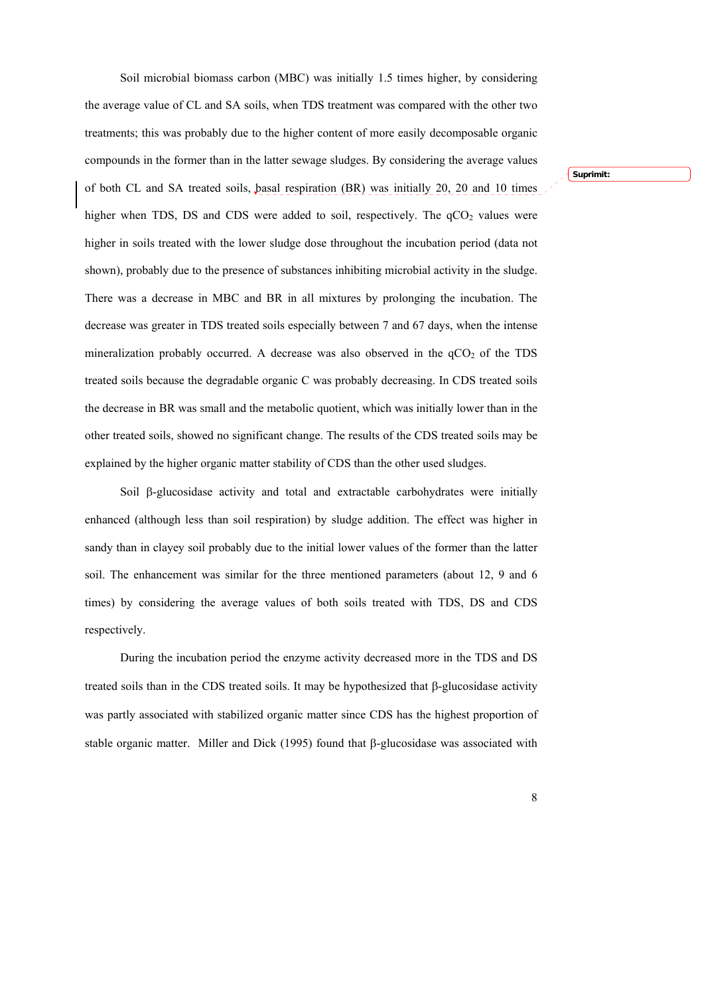Soil microbial biomass carbon (MBC) was initially 1.5 times higher, by considering the average value of CL and SA soils, when TDS treatment was compared with the other two treatments; this was probably due to the higher content of more easily decomposable organic compounds in the former than in the latter sewage sludges. By considering the average values of both CL and SA treated soils, basal respiration (BR) was initially 20, 20 and 10 times higher when TDS, DS and CDS were added to soil, respectively. The  $qCO<sub>2</sub>$  values were higher in soils treated with the lower sludge dose throughout the incubation period (data not shown), probably due to the presence of substances inhibiting microbial activity in the sludge. There was a decrease in MBC and BR in all mixtures by prolonging the incubation. The decrease was greater in TDS treated soils especially between 7 and 67 days, when the intense mineralization probably occurred. A decrease was also observed in the  $qCO<sub>2</sub>$  of the TDS treated soils because the degradable organic C was probably decreasing. In CDS treated soils the decrease in BR was small and the metabolic quotient, which was initially lower than in the other treated soils, showed no significant change. The results of the CDS treated soils may be explained by the higher organic matter stability of CDS than the other used sludges.

Soil  $\beta$ -glucosidase activity and total and extractable carbohydrates were initially enhanced (although less than soil respiration) by sludge addition. The effect was higher in sandy than in clayey soil probably due to the initial lower values of the former than the latter soil. The enhancement was similar for the three mentioned parameters (about 12, 9 and 6 times) by considering the average values of both soils treated with TDS, DS and CDS respectively.

During the incubation period the enzyme activity decreased more in the TDS and DS treated soils than in the CDS treated soils. It may be hypothesized that  $\beta$ -glucosidase activity was partly associated with stabilized organic matter since CDS has the highest proportion of stable organic matter. Miller and Dick (1995) found that  $\beta$ -glucosidase was associated with **Suprimit:**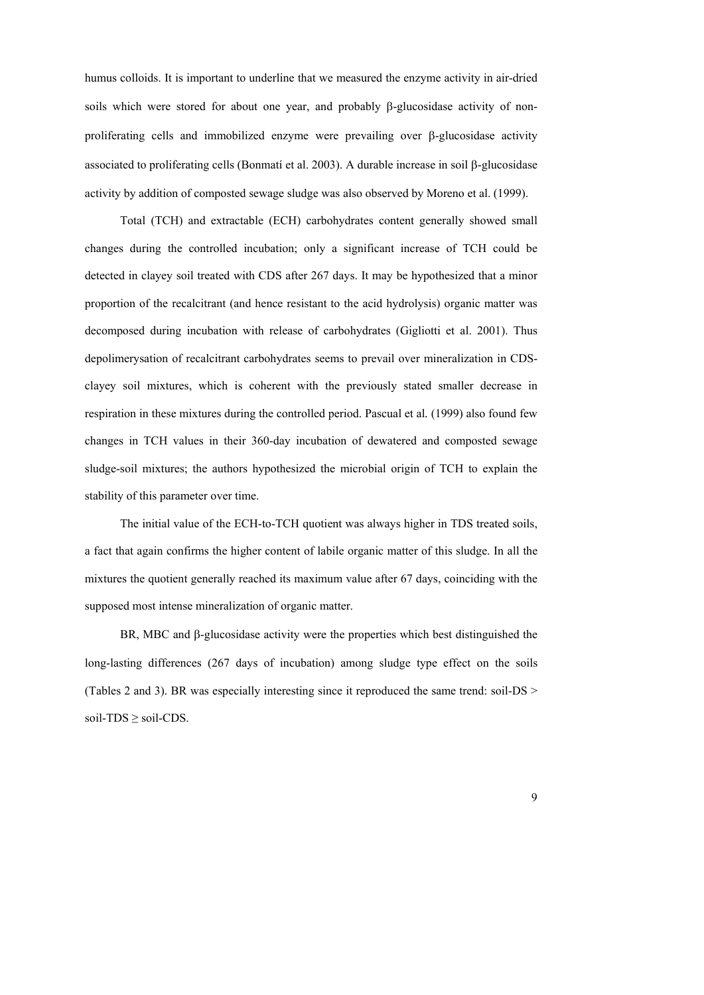humus colloids. It is important to underline that we measured the enzyme activity in air-dried soils which were stored for about one year, and probably  $\beta$ -glucosidase activity of nonproliferating cells and immobilized enzyme were prevailing over  $\beta$ -glucosidase activity associated to proliferating cells (Bonmatí et al. 2003). A durable increase in soil  $\beta$ -glucosidase activity by addition of composted sewage sludge was also observed by Moreno et al. (1999).

Total (TCH) and extractable (ECH) carbohydrates content generally showed small changes during the controlled incubation; only a significant increase of TCH could be detected in clayey soil treated with CDS after 267 days. It may be hypothesized that a minor proportion of the recalcitrant (and hence resistant to the acid hydrolysis) organic matter was decomposed during incubation with release of carbohydrates (Gigliotti et al. 2001). Thus depolimerysation of recalcitrant carbohydrates seems to prevail over mineralization in CDSclayey soil mixtures, which is coherent with the previously stated smaller decrease in respiration in these mixtures during the controlled period. Pascual et al*.* (1999) also found few changes in TCH values in their 360-day incubation of dewatered and composted sewage sludge-soil mixtures; the authors hypothesized the microbial origin of TCH to explain the stability of this parameter over time.

The initial value of the ECH-to-TCH quotient was always higher in TDS treated soils, a fact that again confirms the higher content of labile organic matter of this sludge. In all the mixtures the quotient generally reached its maximum value after 67 days, coinciding with the supposed most intense mineralization of organic matter.

BR, MBC and  $\beta$ -glucosidase activity were the properties which best distinguished the long-lasting differences (267 days of incubation) among sludge type effect on the soils (Tables 2 and 3). BR was especially interesting since it reproduced the same trend: soil-DS > soil- $TDS \ge$  soil-CDS.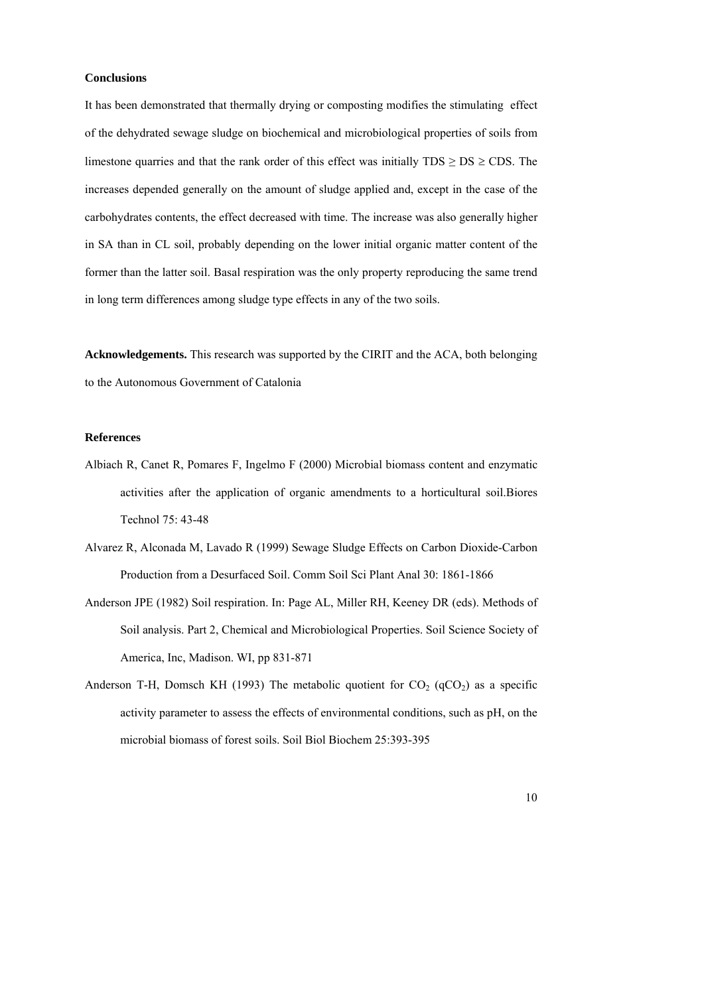# **Conclusions**

It has been demonstrated that thermally drying or composting modifies the stimulating effect of the dehydrated sewage sludge on biochemical and microbiological properties of soils from limestone quarries and that the rank order of this effect was initially  $TDS \geq DS \geq CDS$ . The increases depended generally on the amount of sludge applied and, except in the case of the carbohydrates contents, the effect decreased with time. The increase was also generally higher in SA than in CL soil, probably depending on the lower initial organic matter content of the former than the latter soil. Basal respiration was the only property reproducing the same trend in long term differences among sludge type effects in any of the two soils.

**Acknowledgements.** This research was supported by the CIRIT and the ACA, both belonging to the Autonomous Government of Catalonia

# **References**

- Albiach R, Canet R, Pomares F, Ingelmo F (2000) Microbial biomass content and enzymatic activities after the application of organic amendments to a horticultural soil.Biores Technol 75: 43-48
- Alvarez R, Alconada M, Lavado R (1999) Sewage Sludge Effects on Carbon Dioxide-Carbon Production from a Desurfaced Soil. Comm Soil Sci Plant Anal 30: 1861-1866
- Anderson JPE (1982) Soil respiration. In: Page AL, Miller RH, Keeney DR (eds). Methods of Soil analysis. Part 2, Chemical and Microbiological Properties. Soil Science Society of America, Inc, Madison. WI, pp 831-871
- Anderson T-H, Domsch KH (1993) The metabolic quotient for  $CO<sub>2</sub>$  (qCO<sub>2</sub>) as a specific activity parameter to assess the effects of environmental conditions, such as pH, on the microbial biomass of forest soils. Soil Biol Biochem 25:393-395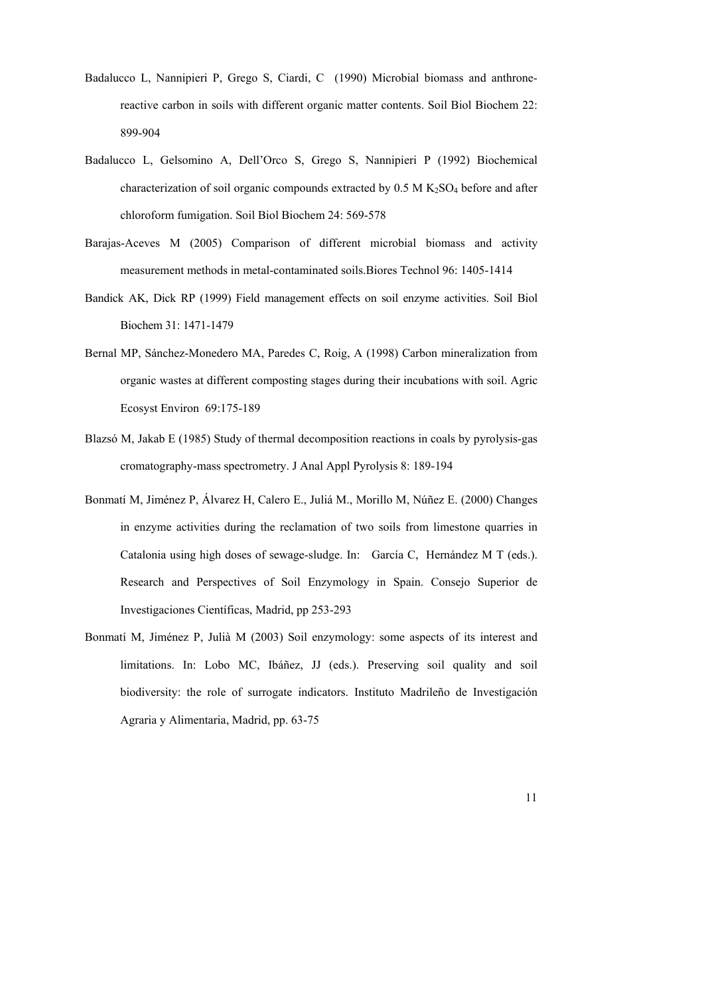- Badalucco L, Nannipieri P, Grego S, Ciardi, C (1990) Microbial biomass and anthronereactive carbon in soils with different organic matter contents. Soil Biol Biochem 22: 899-904
- Badalucco L, Gelsomino A, Dell'Orco S, Grego S, Nannipieri P (1992) Biochemical characterization of soil organic compounds extracted by  $0.5$  M K<sub>2</sub>SO<sub>4</sub> before and after chloroform fumigation. Soil Biol Biochem 24: 569-578
- Barajas-Aceves M (2005) Comparison of different microbial biomass and activity measurement methods in metal-contaminated soils.Biores Technol 96: 1405-1414
- Bandick AK, Dick RP (1999) Field management effects on soil enzyme activities. Soil Biol Biochem 31: 1471-1479
- Bernal MP, Sánchez-Monedero MA, Paredes C, Roig, A (1998) Carbon mineralization from organic wastes at different composting stages during their incubations with soil. Agric Ecosyst Environ 69:175-189
- Blazsó M, Jakab E (1985) Study of thermal decomposition reactions in coals by pyrolysis-gas cromatography-mass spectrometry. J Anal Appl Pyrolysis 8: 189-194
- Bonmatí M, Jiménez P, Álvarez H, Calero E., Juliá M., Morillo M, Núñez E. (2000) Changes in enzyme activities during the reclamation of two soils from limestone quarries in Catalonia using high doses of sewage-sludge. In: García C, Hernández M T (eds.). Research and Perspectives of Soil Enzymology in Spain. Consejo Superior de Investigaciones Científicas, Madrid, pp 253-293
- Bonmatí M, Jiménez P, Julià M (2003) Soil enzymology: some aspects of its interest and limitations. In: Lobo MC, Ibáñez, JJ (eds.). Preserving soil quality and soil biodiversity: the role of surrogate indicators. Instituto Madrileño de Investigación Agraria y Alimentaria, Madrid, pp. 63-75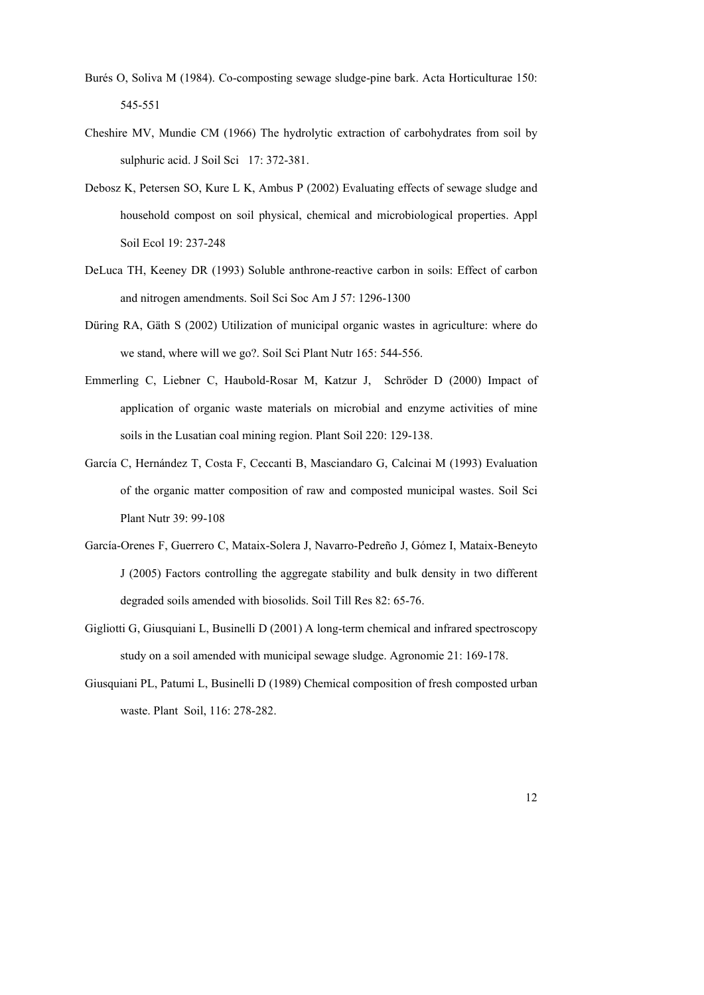- Burés O, Soliva M (1984). Co-composting sewage sludge-pine bark. Acta Horticulturae 150: 545-551
- Cheshire MV, Mundie CM (1966) The hydrolytic extraction of carbohydrates from soil by sulphuric acid. J Soil Sci 17: 372-381.
- Debosz K, Petersen SO, Kure L K, Ambus P (2002) Evaluating effects of sewage sludge and household compost on soil physical, chemical and microbiological properties. Appl Soil Ecol 19: 237-248
- DeLuca TH, Keeney DR (1993) Soluble anthrone-reactive carbon in soils: Effect of carbon and nitrogen amendments. Soil Sci Soc Am J 57: 1296-1300
- Düring RA, Gäth S (2002) Utilization of municipal organic wastes in agriculture: where do we stand, where will we go?. Soil Sci Plant Nutr 165: 544-556.
- Emmerling C, Liebner C, Haubold-Rosar M, Katzur J, Schröder D (2000) Impact of application of organic waste materials on microbial and enzyme activities of mine soils in the Lusatian coal mining region. Plant Soil 220: 129-138.
- García C, Hernández T, Costa F, Ceccanti B, Masciandaro G, Calcinai M (1993) Evaluation of the organic matter composition of raw and composted municipal wastes. Soil Sci Plant Nutr 39: 99-108
- García-Orenes F, Guerrero C, Mataix-Solera J, Navarro-Pedreño J, Gómez I, Mataix-Beneyto J (2005) Factors controlling the aggregate stability and bulk density in two different degraded soils amended with biosolids. Soil Till Res 82: 65-76.
- Gigliotti G, Giusquiani L, Businelli D (2001) A long-term chemical and infrared spectroscopy study on a soil amended with municipal sewage sludge. Agronomie 21: 169-178.
- Giusquiani PL, Patumi L, Businelli D (1989) Chemical composition of fresh composted urban waste. Plant Soil, 116: 278-282.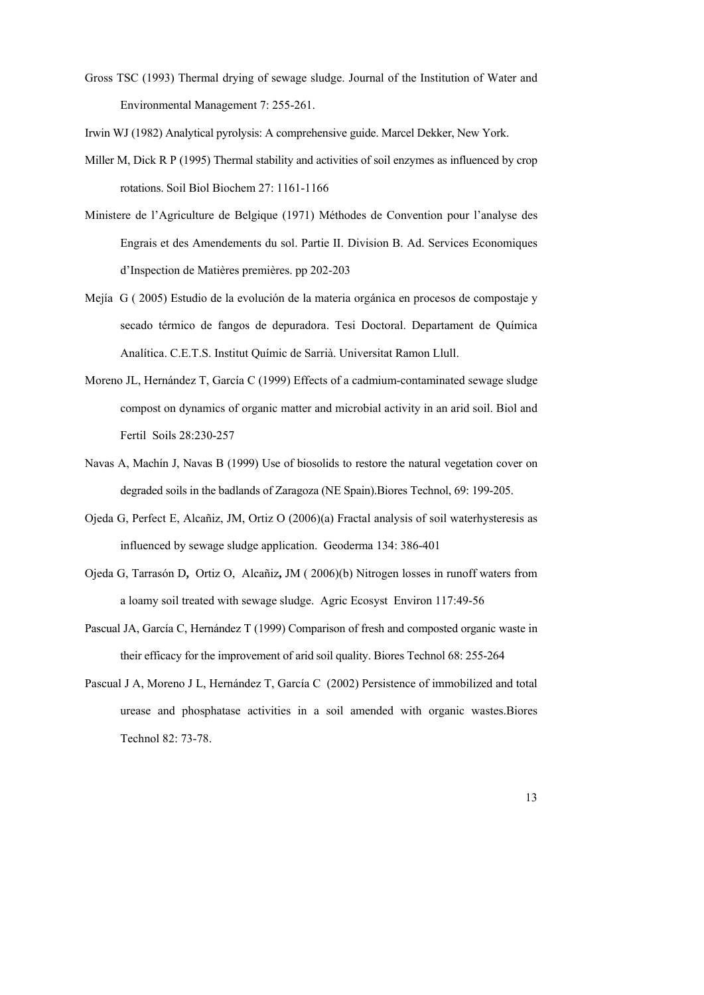Gross TSC (1993) Thermal drying of sewage sludge. Journal of the Institution of Water and Environmental Management 7: 255-261.

Irwin WJ (1982) Analytical pyrolysis: A comprehensive guide. Marcel Dekker, New York.

- Miller M, Dick R P (1995) Thermal stability and activities of soil enzymes as influenced by crop rotations. Soil Biol Biochem 27: 1161-1166
- Ministere de l'Agriculture de Belgique (1971) Méthodes de Convention pour l'analyse des Engrais et des Amendements du sol. Partie II. Division B. Ad. Services Economiques d'Inspection de Matières premières. pp 202-203
- Mejía G ( 2005) Estudio de la evolución de la materia orgánica en procesos de compostaje y secado térmico de fangos de depuradora. Tesi Doctoral. Departament de Química Analítica. C.E.T.S. Institut Químic de Sarrià. Universitat Ramon Llull.
- Moreno JL, Hernández T, García C (1999) Effects of a cadmium-contaminated sewage sludge compost on dynamics of organic matter and microbial activity in an arid soil. Biol and Fertil Soils 28:230-257
- Navas A, Machín J, Navas B (1999) Use of biosolids to restore the natural vegetation cover on degraded soils in the badlands of Zaragoza (NE Spain).Biores Technol, 69: 199-205.
- Ojeda G, Perfect E, Alcañiz, JM, Ortiz O (2006)(a) Fractal analysis of soil waterhysteresis as influenced by sewage sludge application. Geoderma 134: 386-401
- Ojeda G, Tarrasón D**,** Ortiz O, Alcañiz**,** JM ( 2006)(b) Nitrogen losses in runoff waters from a loamy soil treated with sewage sludge. Agric Ecosyst Environ 117:49-56
- Pascual JA, García C, Hernández T (1999) Comparison of fresh and composted organic waste in their efficacy for the improvement of arid soil quality. Biores Technol 68: 255-264
- Pascual J A, Moreno J L, Hernández T, García C (2002) Persistence of immobilized and total urease and phosphatase activities in a soil amended with organic wastes.Biores Technol 82: 73-78.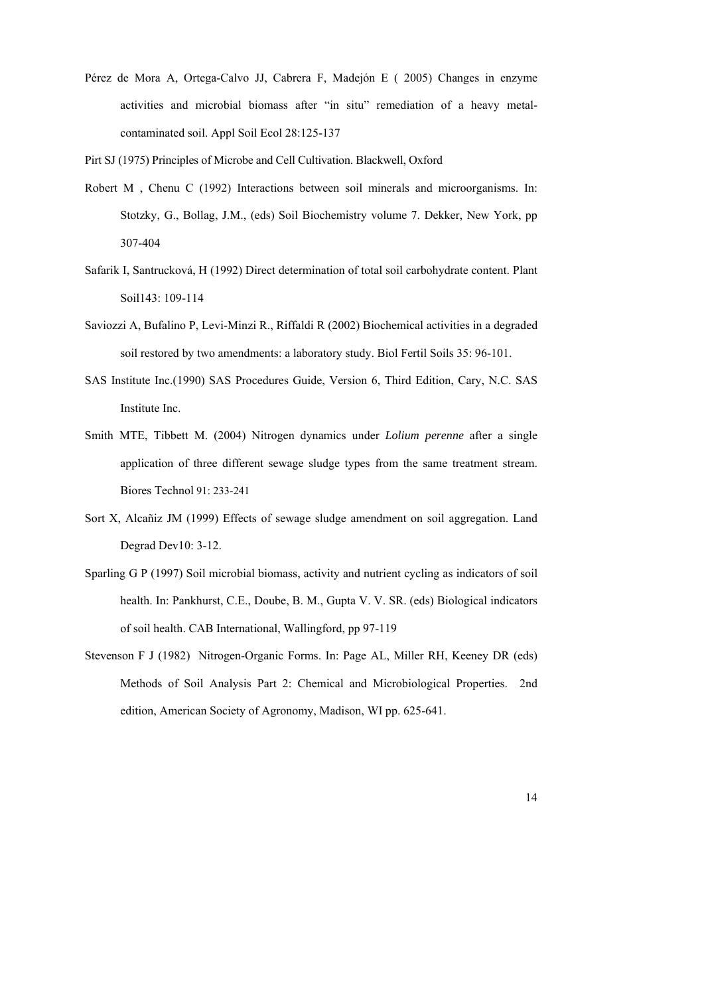Pérez de Mora A, Ortega-Calvo JJ, Cabrera F, Madejón E ( 2005) Changes in enzyme activities and microbial biomass after "in situ" remediation of a heavy metalcontaminated soil. Appl Soil Ecol 28:125-137

Pirt SJ (1975) Principles of Microbe and Cell Cultivation. Blackwell, Oxford

- Robert M , Chenu C (1992) Interactions between soil minerals and microorganisms. In: Stotzky, G., Bollag, J.M., (eds) Soil Biochemistry volume 7. Dekker, New York, pp 307-404
- Safarik I, Santrucková, H (1992) Direct determination of total soil carbohydrate content. Plant Soil143: 109-114
- Saviozzi A, Bufalino P, Levi-Minzi R., Riffaldi R (2002) Biochemical activities in a degraded soil restored by two amendments: a laboratory study. Biol Fertil Soils 35: 96-101.
- SAS Institute Inc.(1990) SAS Procedures Guide, Version 6, Third Edition, Cary, N.C. SAS Institute Inc.
- Smith MTE, Tibbett M. (2004) Nitrogen dynamics under *Lolium perenne* after a single application of three different sewage sludge types from the same treatment stream. Biores Technol 91: 233-241
- Sort X, Alcañiz JM (1999) Effects of sewage sludge amendment on soil aggregation. Land Degrad Dev10: 3-12.
- Sparling G P (1997) Soil microbial biomass, activity and nutrient cycling as indicators of soil health. In: Pankhurst, C.E., Doube, B. M., Gupta V. V. SR. (eds) Biological indicators of soil health. CAB International, Wallingford, pp 97-119
- Stevenson F J (1982) Nitrogen-Organic Forms. In: Page AL, Miller RH, Keeney DR (eds) Methods of Soil Analysis Part 2: Chemical and Microbiological Properties. 2nd edition, American Society of Agronomy, Madison, WI pp. 625-641.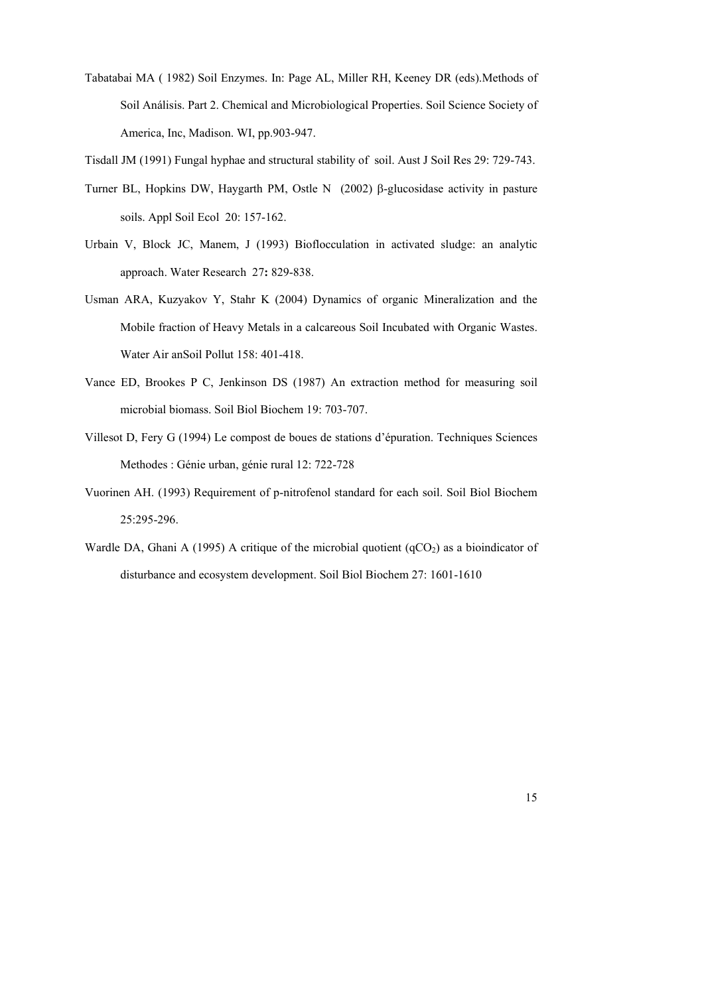Tabatabai MA ( 1982) Soil Enzymes. In: Page AL, Miller RH, Keeney DR (eds).Methods of Soil Análisis. Part 2. Chemical and Microbiological Properties. Soil Science Society of America, Inc, Madison. WI, pp.903-947.

Tisdall JM (1991) Fungal hyphae and structural stability of soil. Aust J Soil Res 29: 729-743.

- Turner BL, Hopkins DW, Haygarth PM, Ostle N (2002)  $\beta$ -glucosidase activity in pasture soils. Appl Soil Ecol 20: 157-162.
- Urbain V, Block JC, Manem, J (1993) Bioflocculation in activated sludge: an analytic approach. Water Research27**:** 829-838.
- Usman ARA, Kuzyakov Y, Stahr K (2004) Dynamics of organic Mineralization and the Mobile fraction of Heavy Metals in a calcareous Soil Incubated with Organic Wastes. Water Air anSoil Pollut 158: 401-418.
- Vance ED, Brookes P C, Jenkinson DS (1987) An extraction method for measuring soil microbial biomass. Soil Biol Biochem 19: 703-707.
- Villesot D, Fery G (1994) Le compost de boues de stations d'épuration. Techniques Sciences Methodes : Génie urban, génie rural 12: 722-728
- Vuorinen AH. (1993) Requirement of p-nitrofenol standard for each soil. Soil Biol Biochem 25:295-296.
- Wardle DA, Ghani A (1995) A critique of the microbial quotient  $(qCO<sub>2</sub>)$  as a bioindicator of disturbance and ecosystem development. Soil Biol Biochem 27: 1601-1610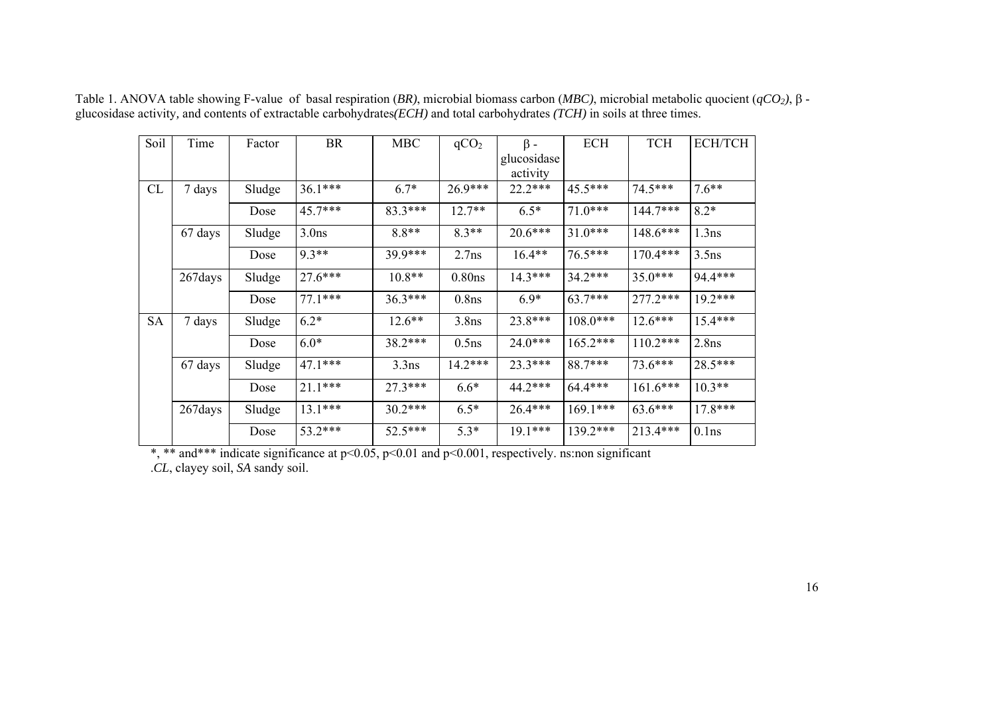| Soil      | Time     | Factor | BR                           | <b>MBC</b> | qCO <sub>2</sub>   | $\beta$ -   | <b>ECH</b> | <b>TCH</b> | <b>ECH/TCH</b> |
|-----------|----------|--------|------------------------------|------------|--------------------|-------------|------------|------------|----------------|
|           |          |        |                              |            |                    | glucosidase |            |            |                |
|           |          |        |                              |            |                    | activity    |            |            |                |
| CL        | 7 days   | Sludge | $36.1***$                    | $6.7*$     | $26.9***$          | $22.2***$   | $45.5***$  | $74.5***$  | $7.6**$        |
|           |          | Dose   | 45.7***                      | $83.3***$  | $12.7**$           | $6.5*$      | $71.0***$  | 144.7***   | $8.2*$         |
|           | 67 days  | Sludge | $8.8**$<br>3.0 <sub>ns</sub> |            | $8.3**$            | $20.6***$   | $31.0***$  | $148.6***$ | 1.3ns          |
|           |          | Dose   | $9.3**$                      | $39.9***$  | 2.7ns              | $16.4**$    | 76.5***    | $170.4***$ | $3.5$ ns       |
|           | 267 days | Sludge | 27.6***                      | $10.8**$   | 0.80 <sub>ns</sub> | $14.3***$   | $34.2***$  | $35.0***$  | 94.4***        |
|           |          | Dose   | $77.1***$                    | $36.3***$  | 0.8 <sub>ns</sub>  | $6.9*$      | $63.7***$  | $277.2***$ | $19.2***$      |
| <b>SA</b> | 7 days   | Sludge | $6.2*$                       | $12.6***$  | $3.8$ ns           | 23.8***     | $108.0***$ | $12.6***$  | $15.4***$      |
|           |          | Dose   | $6.0*$                       | $38.2***$  | $0.5$ ns           | $24.0***$   | $165.2***$ | $110.2***$ | 2.8ns          |
|           | 67 days  | Sludge | $47.1***$                    | $3.3$ ns   | $14.2***$          | $23.3***$   | 88.7***    | $73.6***$  | 28.5***        |
|           |          | Dose   | $21.1***$                    | $27.3***$  | $6.6*$             | $44.2***$   | 64.4***    | $161.6***$ | $10.3**$       |
|           | 267 days | Sludge | $13.1***$                    | $30.2***$  | $6.5*$             | $26.4***$   | $169.1***$ | $63.6***$  | $17.8***$      |
|           |          | Dose   | 53.2***                      | $52.5***$  | $5.3*$             | $19.1***$   | 139.2***   | 213.4***   | 0.1ns          |

Table 1. ANOVA table showing F-value of basal respiration (*BR*), microbial biomass carbon (*MBC*), microbial metabolic quocient (*qCO*<sub>2</sub>), β glucosidase activity*,* and contents of extractable carbohydrates*(ECH)* and total carbohydrates *(TCH)* in soils at three times.

\*, \*\* and\*\*\* indicate significance at  $p<0.05$ ,  $p<0.01$  and  $p<0.001$ , respectively. ns:non significant .*CL*, clayey soil, *SA* sandy soil.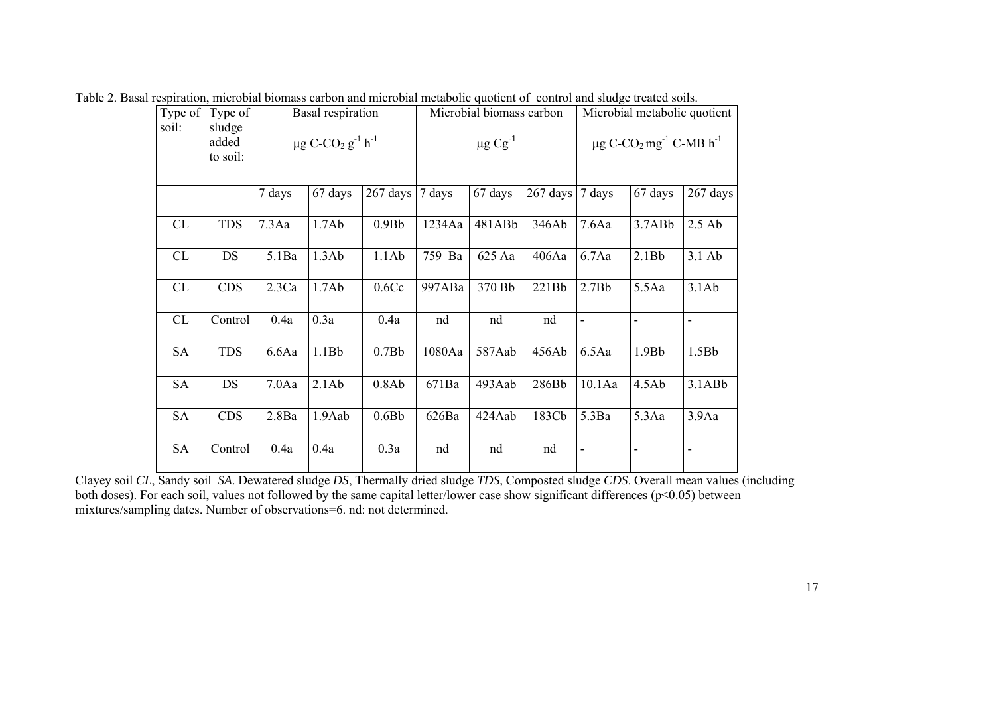| Type of   | Type of                     |        | Basal respiration                                         |                   |        | Microbial biomass carbon |          | Microbial metabolic quotient                                    |         |              |  |
|-----------|-----------------------------|--------|-----------------------------------------------------------|-------------------|--------|--------------------------|----------|-----------------------------------------------------------------|---------|--------------|--|
| soil:     | sludge<br>added<br>to soil: |        | $\mu$ g C-CO <sub>2</sub> g <sup>-1</sup> h <sup>-1</sup> |                   |        | $\mu$ g Cg <sup>-1</sup> |          | $\mu$ g C-CO <sub>2</sub> mg <sup>-1</sup> C-MB h <sup>-1</sup> |         |              |  |
|           |                             | 7 days | 67 days                                                   | 267 days          | 7 days | 67 days                  | 267 days | 7 days                                                          | 67 days | 267 days     |  |
| CL        | <b>TDS</b>                  | 7.3Aa  | 1.7Ab                                                     | 0.9B <sub>b</sub> | 1234Aa | 481ABb                   | 346Ab    | 7.6Aa                                                           | 3.7ABb  | $2.5$ Ab     |  |
| CL        | DS                          | 5.1Ba  | 1.3Ab                                                     | 1.1Ab             | 759 Ba | 625 Aa                   | 406Aa    | 6.7Aa                                                           | 2.1Bb   | 3.1 Ab       |  |
| CL        | <b>CDS</b>                  | 2.3Ca  | 1.7Ab                                                     | 0.6Cc             | 997ABa | 370 Bb                   | 221Bb    | 2.7Bb                                                           | 5.5Aa   | 3.1Ab        |  |
| CL        | Control                     | 0.4a   | 0.3a                                                      | 0.4a              | nd     | nd                       | nd       | $\blacksquare$                                                  |         |              |  |
| <b>SA</b> | <b>TDS</b>                  | 6.6Aa  | 1.1Bb                                                     | 0.7Bb             | 1080Aa | 587Aab                   | 456Ab    | 6.5Aa                                                           | 1.9Bb   | 1.5Bb        |  |
| <b>SA</b> | DS                          | 7.0Aa  | 2.1Ab                                                     | 0.8Ab             | 671Ba  | 493Aab                   | 286Bb    | 10.1Aa                                                          | 4.5Ab   | $3.1$ AB $b$ |  |
| <b>SA</b> | <b>CDS</b>                  | 2.8Ba  | 1.9Aab                                                    | 0.6Bb             | 626Ba  | 424Aab                   | 183Cb    | 5.3Ba                                                           | 5.3Aa   | 3.9Aa        |  |
| SA        | Control                     | 0.4a   | 0.4a                                                      | 0.3a              | nd     | nd                       | nd       | $\overline{\phantom{a}}$                                        | ÷,      |              |  |

Table 2. Basal respiration, microbial biomass carbon and microbial metabolic quotient of control and sludge treated soils.

Clayey soil *CL*, Sandy soil *SA*. Dewatered sludge *DS*, Thermally dried sludge *TDS,* Composted sludge *CDS*. Overall mean values (including both doses). For each soil, values not followed by the same capital letter/lower case show significant differences (p<0.05) between mixtures/sampling dates. Number of observations=6. nd: not determined.